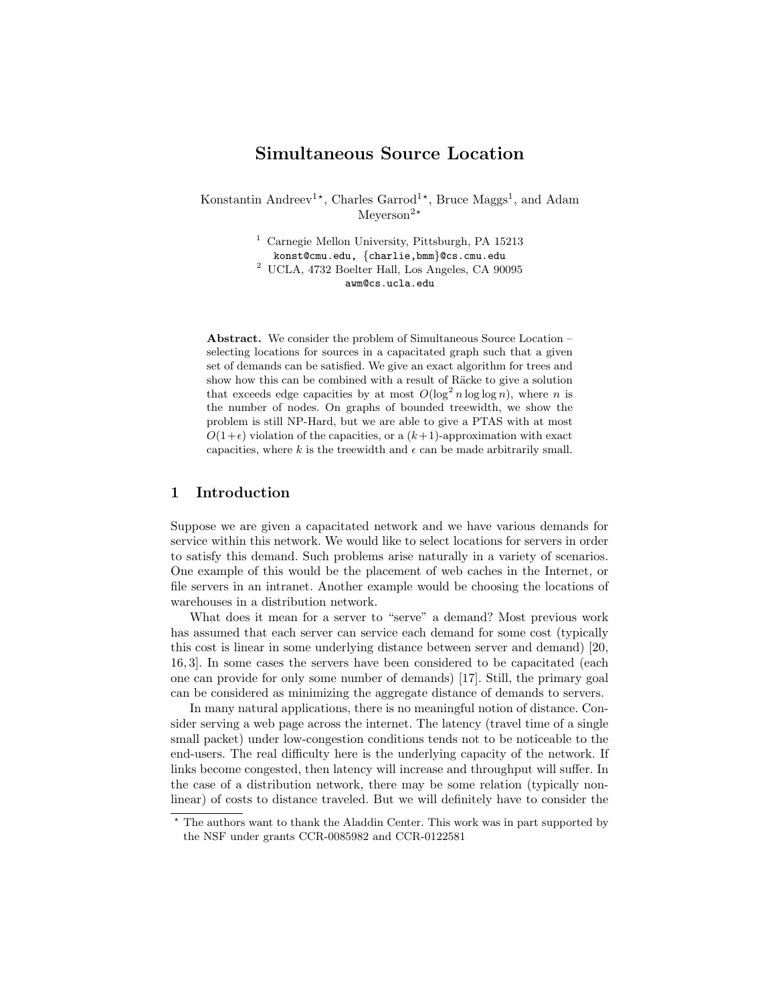# Simultaneous Source Location

Konstantin Andreev<sup>1\*</sup>, Charles Garrod<sup>1\*</sup>, Bruce Maggs<sup>1</sup>, and Adam Meyerson<sup>2\*</sup>

> <sup>1</sup> Carnegie Mellon University, Pittsburgh, PA 15213 konst@cmu.edu, {charlie,bmm}@cs.cmu.edu <sup>2</sup> UCLA, 4732 Boelter Hall, Los Angeles, CA 90095 awm@cs.ucla.edu

Abstract. We consider the problem of Simultaneous Source Location – selecting locations for sources in a capacitated graph such that a given set of demands can be satisfied. We give an exact algorithm for trees and show how this can be combined with a result of Räcke to give a solution that exceeds edge capacities by at most  $O(\log^2 n \log \log n)$ , where n is the number of nodes. On graphs of bounded treewidth, we show the problem is still NP-Hard, but we are able to give a PTAS with at most  $O(1+\epsilon)$  violation of the capacities, or a  $(k+1)$ -approximation with exact capacities, where  $k$  is the treewidth and  $\epsilon$  can be made arbitrarily small.

# 1 Introduction

Suppose we are given a capacitated network and we have various demands for service within this network. We would like to select locations for servers in order to satisfy this demand. Such problems arise naturally in a variety of scenarios. One example of this would be the placement of web caches in the Internet, or file servers in an intranet. Another example would be choosing the locations of warehouses in a distribution network.

What does it mean for a server to "serve" a demand? Most previous work has assumed that each server can service each demand for some cost (typically this cost is linear in some underlying distance between server and demand) [20, 16, 3]. In some cases the servers have been considered to be capacitated (each one can provide for only some number of demands) [17]. Still, the primary goal can be considered as minimizing the aggregate distance of demands to servers.

In many natural applications, there is no meaningful notion of distance. Consider serving a web page across the internet. The latency (travel time of a single small packet) under low-congestion conditions tends not to be noticeable to the end-users. The real difficulty here is the underlying capacity of the network. If links become congested, then latency will increase and throughput will suffer. In the case of a distribution network, there may be some relation (typically nonlinear) of costs to distance traveled. But we will definitely have to consider the

<sup>?</sup> The authors want to thank the Aladdin Center. This work was in part supported by the NSF under grants CCR-0085982 and CCR-0122581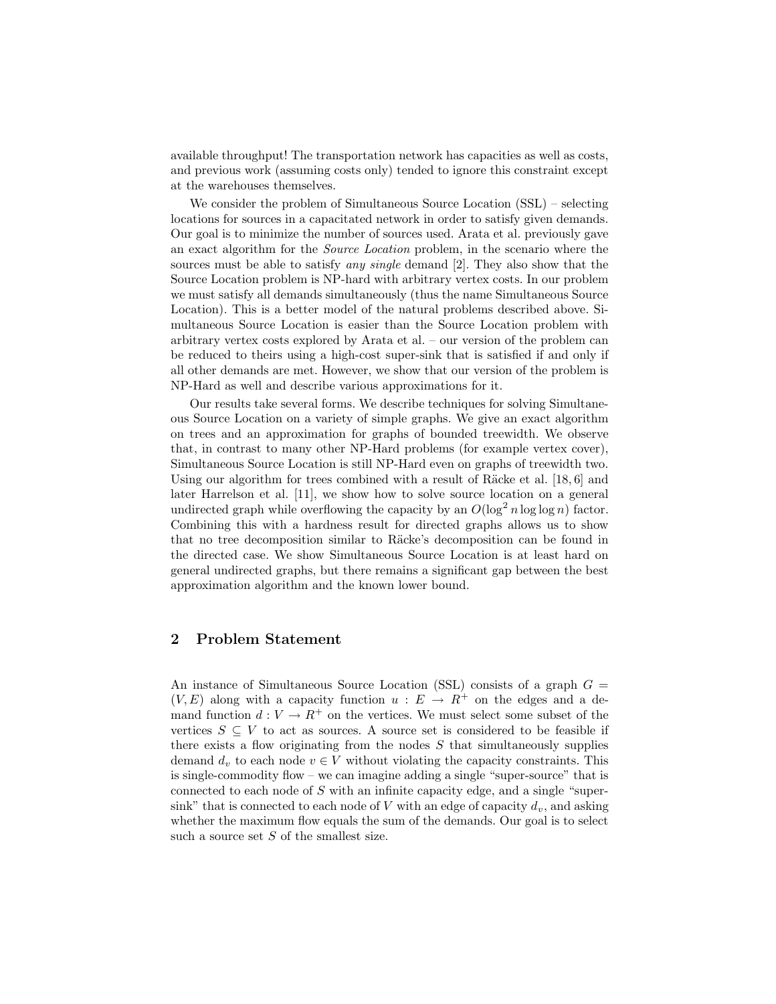available throughput! The transportation network has capacities as well as costs, and previous work (assuming costs only) tended to ignore this constraint except at the warehouses themselves.

We consider the problem of Simultaneous Source Location (SSL) – selecting locations for sources in a capacitated network in order to satisfy given demands. Our goal is to minimize the number of sources used. Arata et al. previously gave an exact algorithm for the Source Location problem, in the scenario where the sources must be able to satisfy *any single* demand [2]. They also show that the Source Location problem is NP-hard with arbitrary vertex costs. In our problem we must satisfy all demands simultaneously (thus the name Simultaneous Source Location). This is a better model of the natural problems described above. Simultaneous Source Location is easier than the Source Location problem with arbitrary vertex costs explored by Arata et al. – our version of the problem can be reduced to theirs using a high-cost super-sink that is satisfied if and only if all other demands are met. However, we show that our version of the problem is NP-Hard as well and describe various approximations for it.

Our results take several forms. We describe techniques for solving Simultaneous Source Location on a variety of simple graphs. We give an exact algorithm on trees and an approximation for graphs of bounded treewidth. We observe that, in contrast to many other NP-Hard problems (for example vertex cover), Simultaneous Source Location is still NP-Hard even on graphs of treewidth two. Using our algorithm for trees combined with a result of Räcke et al. [18, 6] and later Harrelson et al. [11], we show how to solve source location on a general undirected graph while overflowing the capacity by an  $O(\log^2 n \log \log n)$  factor. Combining this with a hardness result for directed graphs allows us to show that no tree decomposition similar to Räcke's decomposition can be found in the directed case. We show Simultaneous Source Location is at least hard on general undirected graphs, but there remains a significant gap between the best approximation algorithm and the known lower bound.

# 2 Problem Statement

An instance of Simultaneous Source Location (SSL) consists of a graph  $G =$  $(V, E)$  along with a capacity function  $u : E \to R^+$  on the edges and a demand function  $d: V \to R^+$  on the vertices. We must select some subset of the vertices  $S \subseteq V$  to act as sources. A source set is considered to be feasible if there exists a flow originating from the nodes  $S$  that simultaneously supplies demand  $d_v$  to each node  $v \in V$  without violating the capacity constraints. This is single-commodity flow – we can imagine adding a single "super-source" that is connected to each node of S with an infinite capacity edge, and a single "supersink" that is connected to each node of  $V$  with an edge of capacity  $d_v$ , and asking whether the maximum flow equals the sum of the demands. Our goal is to select such a source set  $S$  of the smallest size.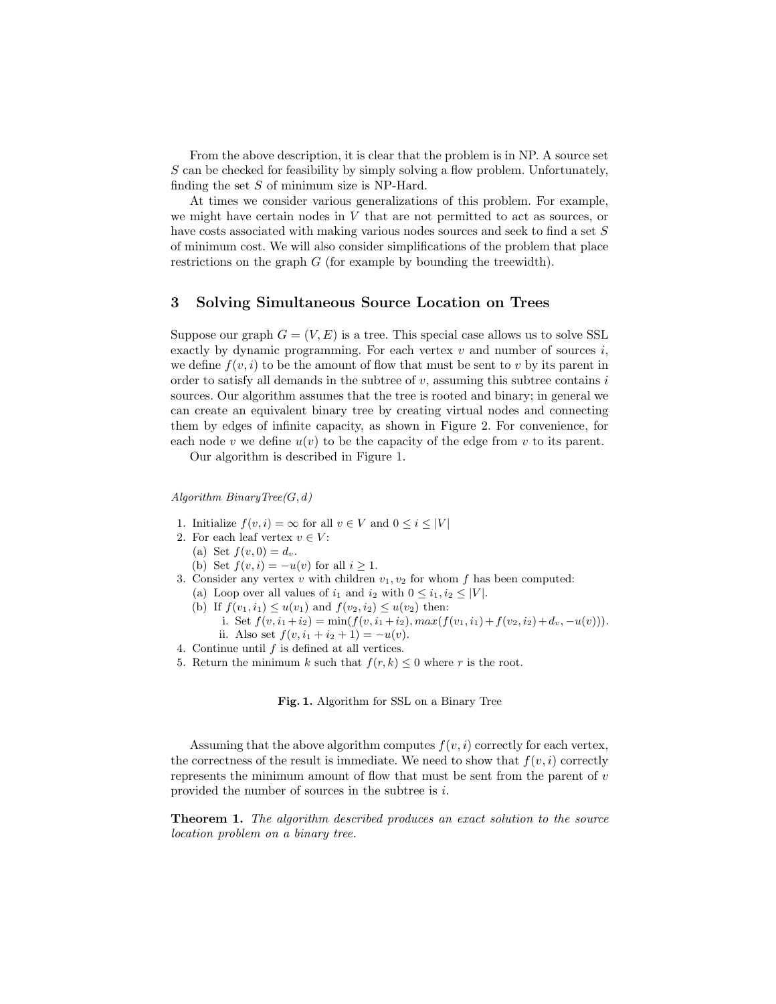From the above description, it is clear that the problem is in NP. A source set S can be checked for feasibility by simply solving a flow problem. Unfortunately, finding the set  $S$  of minimum size is NP-Hard.

At times we consider various generalizations of this problem. For example, we might have certain nodes in V that are not permitted to act as sources, or have costs associated with making various nodes sources and seek to find a set S of minimum cost. We will also consider simplifications of the problem that place restrictions on the graph  $G$  (for example by bounding the treewidth).

### 3 Solving Simultaneous Source Location on Trees

Suppose our graph  $G = (V, E)$  is a tree. This special case allows us to solve SSL exactly by dynamic programming. For each vertex  $v$  and number of sources  $i$ , we define  $f(v,i)$  to be the amount of flow that must be sent to v by its parent in order to satisfy all demands in the subtree of  $v$ , assuming this subtree contains  $i$ sources. Our algorithm assumes that the tree is rooted and binary; in general we can create an equivalent binary tree by creating virtual nodes and connecting them by edges of infinite capacity, as shown in Figure 2. For convenience, for each node v we define  $u(v)$  to be the capacity of the edge from v to its parent.

Our algorithm is described in Figure 1.

Algorithm  $BinaryTree(G, d)$ 

- 1. Initialize  $f(v, i) = \infty$  for all  $v \in V$  and  $0 \le i \le |V|$
- 2. For each leaf vertex  $v \in V$ :
	- (a) Set  $f(v, 0) = d_v$ .

(b) Set  $f(v, i) = -u(v)$  for all  $i \geq 1$ .

- 3. Consider any vertex v with children  $v_1, v_2$  for whom f has been computed:
	- (a) Loop over all values of  $i_1$  and  $i_2$  with  $0 \leq i_1, i_2 \leq |V|$ .
	- (b) If  $f(v_1,i_1) \le u(v_1)$  and  $f(v_2,i_2) \le u(v_2)$  then:
		- i. Set  $f(v,i_1+i_2) = \min(f(v,i_1+i_2), \max(f(v_1,i_1)+f(v_2,i_2)+d_v, -u(v))).$ ii. Also set  $f(v, i_1 + i_2 + 1) = -u(v)$ .
- 4. Continue until  $f$  is defined at all vertices.
- 5. Return the minimum k such that  $f(r, k) \leq 0$  where r is the root.

Fig. 1. Algorithm for SSL on a Binary Tree

Assuming that the above algorithm computes  $f(v, i)$  correctly for each vertex, the correctness of the result is immediate. We need to show that  $f(v, i)$  correctly represents the minimum amount of flow that must be sent from the parent of  $v$ provided the number of sources in the subtree is i.

Theorem 1. The algorithm described produces an exact solution to the source location problem on a binary tree.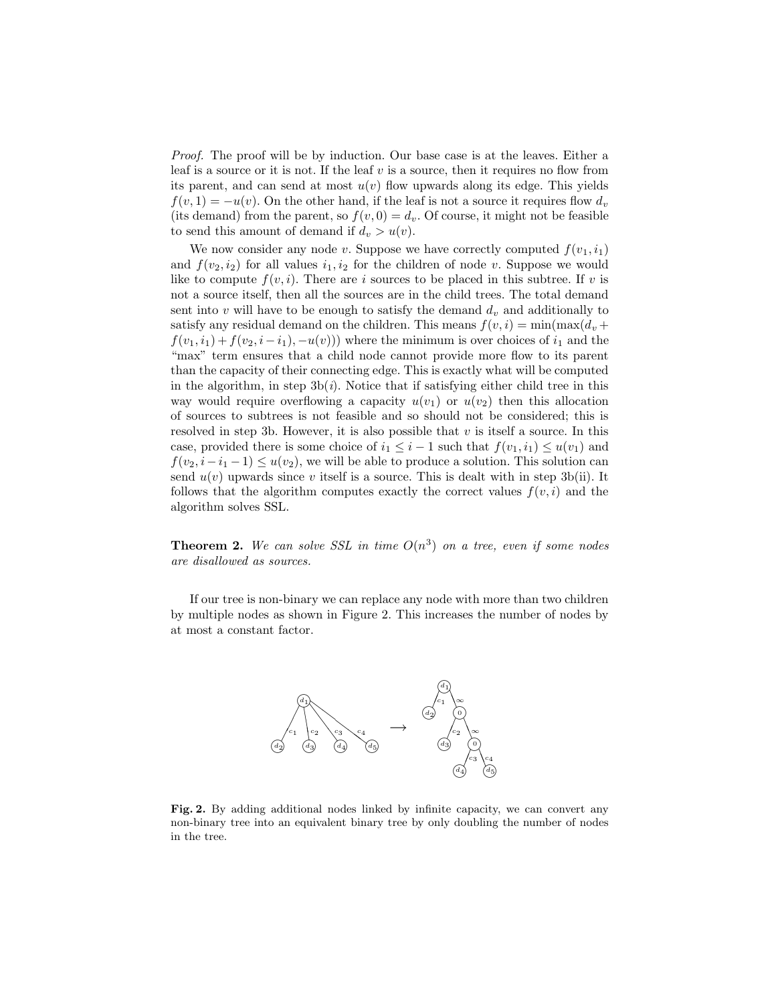Proof. The proof will be by induction. Our base case is at the leaves. Either a leaf is a source or it is not. If the leaf  $v$  is a source, then it requires no flow from its parent, and can send at most  $u(v)$  flow upwards along its edge. This yields  $f(v, 1) = -u(v)$ . On the other hand, if the leaf is not a source it requires flow  $d_v$ (its demand) from the parent, so  $f(v, 0) = d_v$ . Of course, it might not be feasible to send this amount of demand if  $d_v > u(v)$ .

We now consider any node v. Suppose we have correctly computed  $f(v_1,i_1)$ and  $f(v_2,i_2)$  for all values  $i_1,i_2$  for the children of node v. Suppose we would like to compute  $f(v, i)$ . There are i sources to be placed in this subtree. If v is not a source itself, then all the sources are in the child trees. The total demand sent into v will have to be enough to satisfy the demand  $d<sub>v</sub>$  and additionally to satisfy any residual demand on the children. This means  $f(v, i) = min(max(d_v +$  $f(v_1,i_1) + f(v_2,i-i_1), -u(v))$  where the minimum is over choices of  $i_1$  and the "max" term ensures that a child node cannot provide more flow to its parent than the capacity of their connecting edge. This is exactly what will be computed in the algorithm, in step  $3b(i)$ . Notice that if satisfying either child tree in this way would require overflowing a capacity  $u(v_1)$  or  $u(v_2)$  then this allocation of sources to subtrees is not feasible and so should not be considered; this is resolved in step 3b. However, it is also possible that  $v$  is itself a source. In this case, provided there is some choice of  $i_1 \leq i-1$  such that  $f(v_1,i_1) \leq u(v_1)$  and  $f(v_2,i-i_1-1) \leq u(v_2)$ , we will be able to produce a solution. This solution can send  $u(v)$  upwards since v itself is a source. This is dealt with in step 3b(ii). It follows that the algorithm computes exactly the correct values  $f(v, i)$  and the algorithm solves SSL.

**Theorem 2.** We can solve SSL in time  $O(n^3)$  on a tree, even if some nodes are disallowed as sources.

If our tree is non-binary we can replace any node with more than two children by multiple nodes as shown in Figure 2. This increases the number of nodes by at most a constant factor.



Fig. 2. By adding additional nodes linked by infinite capacity, we can convert any non-binary tree into an equivalent binary tree by only doubling the number of nodes in the tree.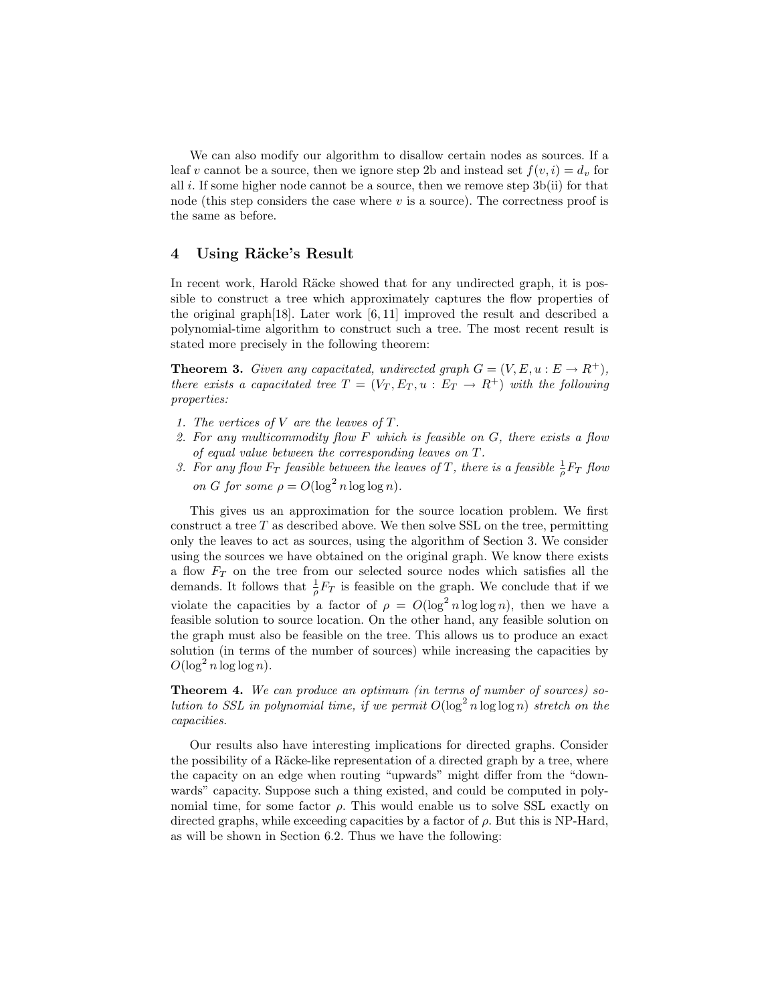We can also modify our algorithm to disallow certain nodes as sources. If a leaf v cannot be a source, then we ignore step 2b and instead set  $f(v, i) = d_v$  for all i. If some higher node cannot be a source, then we remove step  $3b(ii)$  for that node (this step considers the case where  $v$  is a source). The correctness proof is the same as before.

## 4 Using Räcke's Result

In recent work, Harold Räcke showed that for any undirected graph, it is possible to construct a tree which approximately captures the flow properties of the original graph[18]. Later work [6, 11] improved the result and described a polynomial-time algorithm to construct such a tree. The most recent result is stated more precisely in the following theorem:

**Theorem 3.** Given any capacitated, undirected graph  $G = (V, E, u : E \rightarrow R^{+})$ , there exists a capacitated tree  $T = (V_T, E_T, u : E_T \rightarrow R^+)$  with the following properties:

- 1. The vertices of V are the leaves of T.
- 2. For any multicommodity flow F which is feasible on G, there exists a flow of equal value between the corresponding leaves on T.
- 3. For any flow  $F_T$  feasible between the leaves of T, there is a feasible  $\frac{1}{\rho}F_T$  flow on G for some  $\rho = O(\log^2 n \log \log n)$ .

This gives us an approximation for the source location problem. We first construct a tree  $T$  as described above. We then solve SSL on the tree, permitting only the leaves to act as sources, using the algorithm of Section 3. We consider using the sources we have obtained on the original graph. We know there exists a flow  $F_T$  on the tree from our selected source nodes which satisfies all the demands. It follows that  $\frac{1}{\rho}F_T$  is feasible on the graph. We conclude that if we violate the capacities by a factor of  $\rho = O(\log^2 n \log \log n)$ , then we have a feasible solution to source location. On the other hand, any feasible solution on the graph must also be feasible on the tree. This allows us to produce an exact solution (in terms of the number of sources) while increasing the capacities by  $O(\log^2 n \log \log n)$ .

Theorem 4. We can produce an optimum (in terms of number of sources) solution to SSL in polynomial time, if we permit  $O(\log^2 n \log \log n)$  stretch on the capacities.

Our results also have interesting implications for directed graphs. Consider the possibility of a Räcke-like representation of a directed graph by a tree, where the capacity on an edge when routing "upwards" might differ from the "downwards" capacity. Suppose such a thing existed, and could be computed in polynomial time, for some factor  $\rho$ . This would enable us to solve SSL exactly on directed graphs, while exceeding capacities by a factor of  $\rho$ . But this is NP-Hard, as will be shown in Section 6.2. Thus we have the following: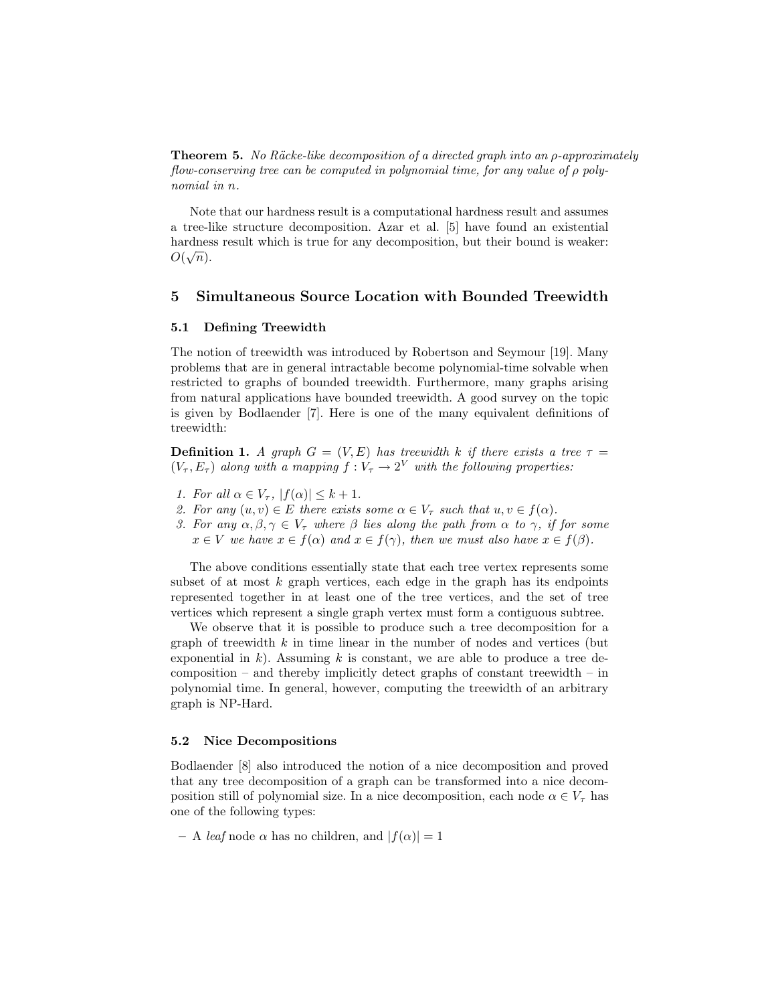**Theorem 5.** No Räcke-like decomposition of a directed graph into an  $\rho$ -approximately flow-conserving tree can be computed in polynomial time, for any value of ρ polynomial in n.

Note that our hardness result is a computational hardness result and assumes a tree-like structure decomposition. Azar et al. [5] have found an existential hardness result which is true for any decomposition, but their bound is weaker:  $O(\sqrt{n}).$ 

## 5 Simultaneous Source Location with Bounded Treewidth

### 5.1 Defining Treewidth

The notion of treewidth was introduced by Robertson and Seymour [19]. Many problems that are in general intractable become polynomial-time solvable when restricted to graphs of bounded treewidth. Furthermore, many graphs arising from natural applications have bounded treewidth. A good survey on the topic is given by Bodlaender [7]. Here is one of the many equivalent definitions of treewidth:

**Definition 1.** A graph  $G = (V, E)$  has treewidth k if there exists a tree  $\tau =$  $(V_\tau, E_\tau)$  along with a mapping  $f: V_\tau \to 2^V$  with the following properties:

- 1. For all  $\alpha \in V_{\tau}$ ,  $|f(\alpha)| \leq k+1$ .
- 2. For any  $(u, v) \in E$  there exists some  $\alpha \in V_{\tau}$  such that  $u, v \in f(\alpha)$ .
- 3. For any  $\alpha, \beta, \gamma \in V_{\tau}$  where  $\beta$  lies along the path from  $\alpha$  to  $\gamma$ , if for some  $x \in V$  we have  $x \in f(\alpha)$  and  $x \in f(\gamma)$ , then we must also have  $x \in f(\beta)$ .

The above conditions essentially state that each tree vertex represents some subset of at most  $k$  graph vertices, each edge in the graph has its endpoints represented together in at least one of the tree vertices, and the set of tree vertices which represent a single graph vertex must form a contiguous subtree.

We observe that it is possible to produce such a tree decomposition for a graph of treewidth  $k$  in time linear in the number of nodes and vertices (but exponential in k). Assuming k is constant, we are able to produce a tree decomposition – and thereby implicitly detect graphs of constant treewidth – in polynomial time. In general, however, computing the treewidth of an arbitrary graph is NP-Hard.

### 5.2 Nice Decompositions

Bodlaender [8] also introduced the notion of a nice decomposition and proved that any tree decomposition of a graph can be transformed into a nice decomposition still of polynomial size. In a nice decomposition, each node  $\alpha \in V_{\tau}$  has one of the following types:

– A leaf node  $\alpha$  has no children, and  $|f(\alpha)| = 1$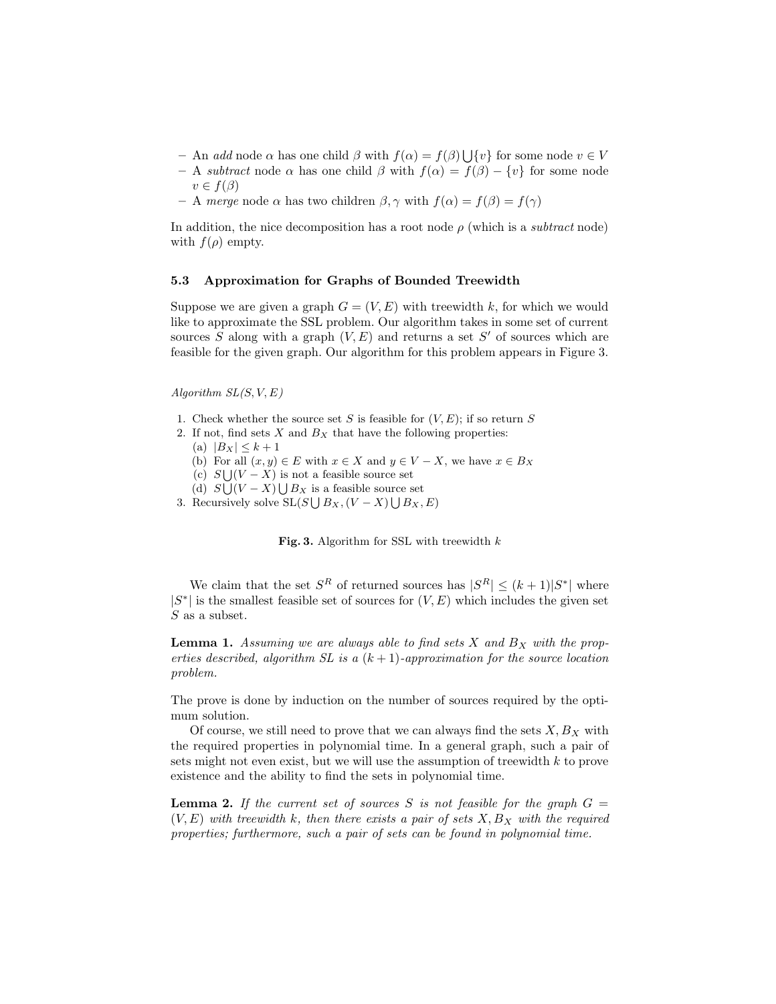- An *add* node α has one child β with  $f(α) = f(β) ∪ {v}$  for some node  $v ∈ V$
- A subtract node  $\alpha$  has one child  $\beta$  with  $f(\alpha) = f(\beta) \{v\}$  for some node  $v \in f(\beta)$
- A merge node  $\alpha$  has two children  $\beta$ ,  $\gamma$  with  $f(\alpha) = f(\beta) = f(\gamma)$

In addition, the nice decomposition has a root node  $\rho$  (which is a *subtract* node) with  $f(\rho)$  empty.

### 5.3 Approximation for Graphs of Bounded Treewidth

Suppose we are given a graph  $G = (V, E)$  with treewidth k, for which we would like to approximate the SSL problem. Our algorithm takes in some set of current sources S along with a graph  $(V, E)$  and returns a set S' of sources which are feasible for the given graph. Our algorithm for this problem appears in Figure 3.

Algorithm  $SL(S, V, E)$ 

- 1. Check whether the source set S is feasible for  $(V, E)$ ; if so return S
- 2. If not, find sets  $X$  and  $B_X$  that have the following properties:
	- (a)  $|B_X| \leq k+1$
	- (b) For all  $(x, y) \in E$  with  $x \in X$  and  $y \in V X$ , we have  $x \in B_X$
	- (c)  $S \bigcup (V X)$  is not a feasible source set
	- (d)  $S \bigcup (V X) \bigcup B_X$  is a feasible source set
- 3. Recursively solve  $SL(S \cup B_X, (V X) \cup B_X, E)$

Fig. 3. Algorithm for SSL with treewidth  $k$ 

We claim that the set  $S^R$  of returned sources has  $|S^R| \leq (k+1)|S^*|$  where  $|S^*|$  is the smallest feasible set of sources for  $(V, E)$  which includes the given set S as a subset.

**Lemma 1.** Assuming we are always able to find sets X and  $B_X$  with the properties described, algorithm SL is a  $(k+1)$ -approximation for the source location problem.

The prove is done by induction on the number of sources required by the optimum solution.

Of course, we still need to prove that we can always find the sets  $X, B_X$  with the required properties in polynomial time. In a general graph, such a pair of sets might not even exist, but we will use the assumption of treewidth  $k$  to prove existence and the ability to find the sets in polynomial time.

**Lemma 2.** If the current set of sources S is not feasible for the graph  $G =$  $(V, E)$  with treewidth k, then there exists a pair of sets  $X, B_X$  with the required properties; furthermore, such a pair of sets can be found in polynomial time.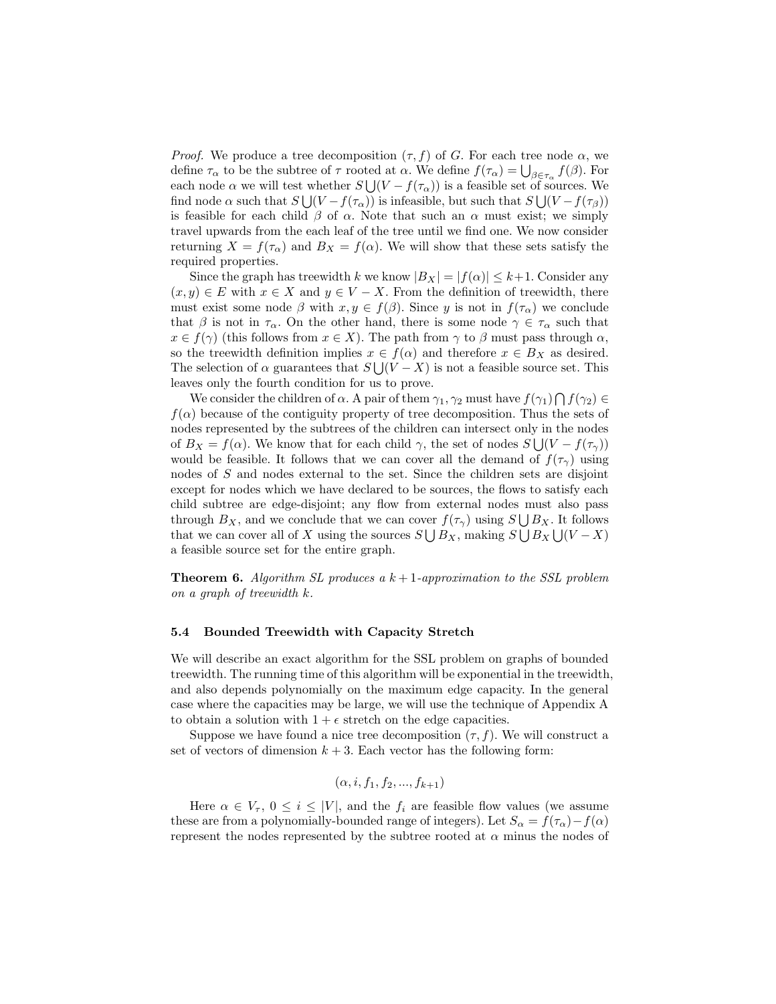*Proof.* We produce a tree decomposition  $(\tau, f)$  of G. For each tree node  $\alpha$ , we define  $\tau_{\alpha}$  to be the subtree of  $\tau$  rooted at  $\alpha$ . We define  $f(\tau_{\alpha}) = \bigcup_{\beta \in \tau_{\alpha}} f(\beta)$ . For each node  $\alpha$  we will test whether  $S \cup (V - f(\tau_{\alpha}))$  is a feasible set of sources. We find node  $\alpha$  such that  $S \cup (V - f(\tau_{\alpha}))$  is infeasible, but such that  $S \cup (V - f(\tau_{\beta}))$ is feasible for each child  $\beta$  of  $\alpha$ . Note that such an  $\alpha$  must exist; we simply travel upwards from the each leaf of the tree until we find one. We now consider returning  $X = f(\tau_\alpha)$  and  $B_X = f(\alpha)$ . We will show that these sets satisfy the required properties.

Since the graph has treewidth k we know  $|B_X| = |f(\alpha)| \leq k+1$ . Consider any  $(x, y) \in E$  with  $x \in X$  and  $y \in V - X$ . From the definition of treewidth, there must exist some node  $\beta$  with  $x, y \in f(\beta)$ . Since y is not in  $f(\tau_{\alpha})$  we conclude that  $\beta$  is not in  $\tau_{\alpha}$ . On the other hand, there is some node  $\gamma \in \tau_{\alpha}$  such that  $x \in f(\gamma)$  (this follows from  $x \in X$ ). The path from  $\gamma$  to  $\beta$  must pass through  $\alpha$ , so the treewidth definition implies  $x \in f(\alpha)$  and therefore  $x \in B_X$  as desired. The selection of  $\alpha$  guarantees that  $S \bigcup (V - X)$  is not a feasible source set. This leaves only the fourth condition for us to prove.

We consider the children of  $\alpha$ . A pair of them  $\gamma_1, \gamma_2$  must have  $f(\gamma_1) \bigcap f(\gamma_2) \in$  $f(\alpha)$  because of the contiguity property of tree decomposition. Thus the sets of nodes represented by the subtrees of the children can intersect only in the nodes of  $B_X = f(\alpha)$ . We know that for each child  $\gamma$ , the set of nodes  $S \cup (V - f(\tau_\gamma))$ would be feasible. It follows that we can cover all the demand of  $f(\tau_\gamma)$  using nodes of S and nodes external to the set. Since the children sets are disjoint except for nodes which we have declared to be sources, the flows to satisfy each child subtree are edge-disjoint; any flow from external nodes must also pass through  $B_X$ , and we conclude that we can cover  $f(\tau_\gamma)$  using  $S \bigcup B_X$ . It follows that we can cover all of X using the sources  $S \bigcup B_X$ , making  $S \bigcup B_X \bigcup (V - X)$ a feasible source set for the entire graph.

**Theorem 6.** Algorithm SL produces a  $k + 1$ -approximation to the SSL problem on a graph of treewidth k.

#### 5.4 Bounded Treewidth with Capacity Stretch

We will describe an exact algorithm for the SSL problem on graphs of bounded treewidth. The running time of this algorithm will be exponential in the treewidth, and also depends polynomially on the maximum edge capacity. In the general case where the capacities may be large, we will use the technique of Appendix A to obtain a solution with  $1 + \epsilon$  stretch on the edge capacities.

Suppose we have found a nice tree decomposition  $(\tau, f)$ . We will construct a set of vectors of dimension  $k + 3$ . Each vector has the following form:

$$
(\alpha, i, f_1, f_2, ..., f_{k+1})
$$

Here  $\alpha \in V_{\tau}$ ,  $0 \leq i \leq |V|$ , and the  $f_i$  are feasible flow values (we assume these are from a polynomially-bounded range of integers). Let  $S_{\alpha} = f(\tau_{\alpha}) - f(\alpha)$ represent the nodes represented by the subtree rooted at  $\alpha$  minus the nodes of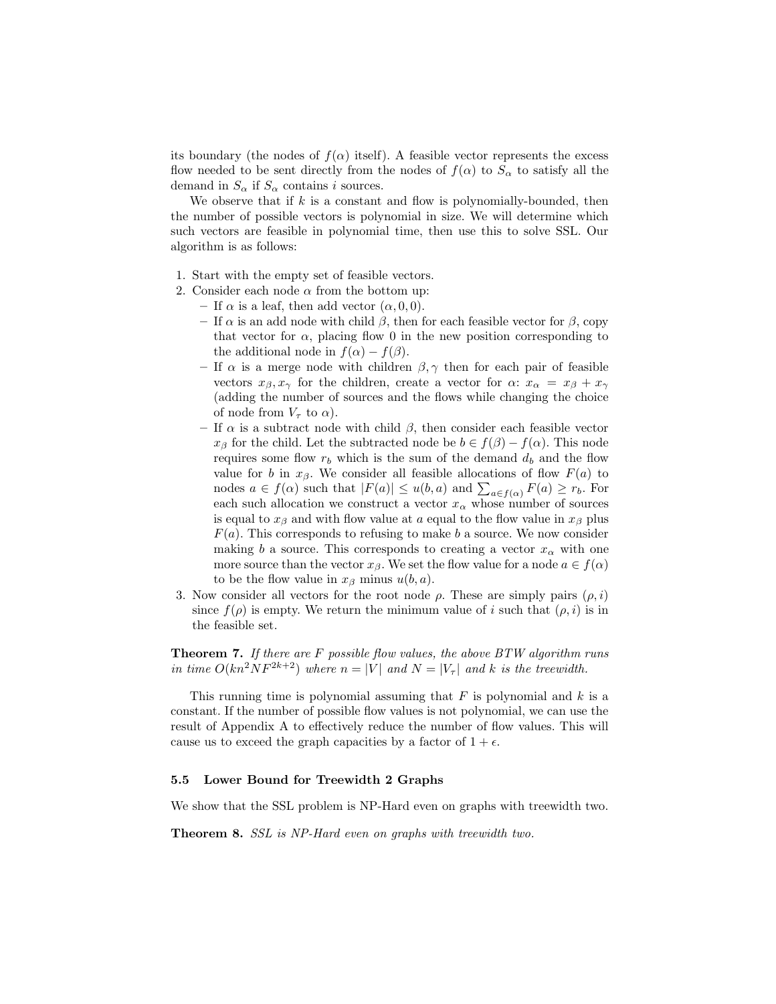its boundary (the nodes of  $f(\alpha)$  itself). A feasible vector represents the excess flow needed to be sent directly from the nodes of  $f(\alpha)$  to  $S_{\alpha}$  to satisfy all the demand in  $S_{\alpha}$  if  $S_{\alpha}$  contains i sources.

We observe that if  $k$  is a constant and flow is polynomially-bounded, then the number of possible vectors is polynomial in size. We will determine which such vectors are feasible in polynomial time, then use this to solve SSL. Our algorithm is as follows:

- 1. Start with the empty set of feasible vectors.
- 2. Consider each node  $\alpha$  from the bottom up:
	- If  $\alpha$  is a leaf, then add vector  $(\alpha, 0, 0)$ .
	- If  $\alpha$  is an add node with child  $\beta$ , then for each feasible vector for  $\beta$ , copy that vector for  $\alpha$ , placing flow 0 in the new position corresponding to the additional node in  $f(\alpha) - f(\beta)$ .
	- If  $\alpha$  is a merge node with children  $\beta$ ,  $\gamma$  then for each pair of feasible vectors  $x_{\beta}, x_{\gamma}$  for the children, create a vector for  $\alpha: x_{\alpha} = x_{\beta} + x_{\gamma}$ (adding the number of sources and the flows while changing the choice of node from  $V_\tau$  to  $\alpha$ ).
	- If  $\alpha$  is a subtract node with child  $\beta$ , then consider each feasible vector  $x_{\beta}$  for the child. Let the subtracted node be  $b \in f(\beta) - f(\alpha)$ . This node requires some flow  $r_b$  which is the sum of the demand  $d_b$  and the flow value for b in  $x_{\beta}$ . We consider all feasible allocations of flow  $F(a)$  to nodes  $a \in f(\alpha)$  such that  $|F(a)| \leq u(b,a)$  and  $\sum_{a \in f(\alpha)} F(a) \geq r_b$ . For each such allocation we construct a vector  $x_{\alpha}$  whose number of sources is equal to  $x_\beta$  and with flow value at a equal to the flow value in  $x_\beta$  plus  $F(a)$ . This corresponds to refusing to make b a source. We now consider making b a source. This corresponds to creating a vector  $x_{\alpha}$  with one more source than the vector  $x_{\beta}$ . We set the flow value for a node  $a \in f(\alpha)$ to be the flow value in  $x_\beta$  minus  $u(b, a)$ .
- 3. Now consider all vectors for the root node  $\rho$ . These are simply pairs  $(\rho, i)$ since  $f(\rho)$  is empty. We return the minimum value of i such that  $(\rho, i)$  is in the feasible set.

**Theorem 7.** If there are  $F$  possible flow values, the above  $BTW$  algorithm runs in time  $O(kn^2NF^{2k+2})$  where  $n=|V|$  and  $N=|V_\tau|$  and k is the treewidth.

This running time is polynomial assuming that  $F$  is polynomial and  $k$  is a constant. If the number of possible flow values is not polynomial, we can use the result of Appendix A to effectively reduce the number of flow values. This will cause us to exceed the graph capacities by a factor of  $1 + \epsilon$ .

### 5.5 Lower Bound for Treewidth 2 Graphs

We show that the SSL problem is NP-Hard even on graphs with treewidth two.

Theorem 8. SSL is NP-Hard even on graphs with treewidth two.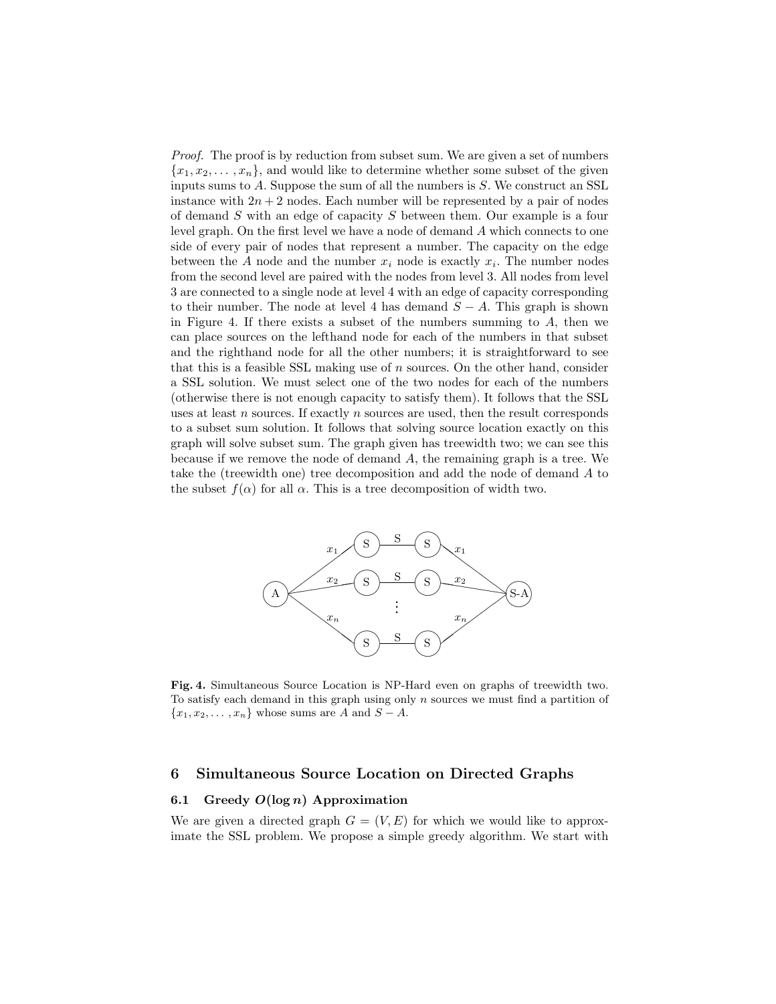Proof. The proof is by reduction from subset sum. We are given a set of numbers  ${x_1, x_2, \ldots, x_n}$ , and would like to determine whether some subset of the given inputs sums to A. Suppose the sum of all the numbers is S. We construct an SSL instance with  $2n + 2$  nodes. Each number will be represented by a pair of nodes of demand S with an edge of capacity S between them. Our example is a four level graph. On the first level we have a node of demand A which connects to one side of every pair of nodes that represent a number. The capacity on the edge between the A node and the number  $x_i$  node is exactly  $x_i$ . The number nodes from the second level are paired with the nodes from level 3. All nodes from level 3 are connected to a single node at level 4 with an edge of capacity corresponding to their number. The node at level 4 has demand  $S - A$ . This graph is shown in Figure 4. If there exists a subset of the numbers summing to  $A$ , then we can place sources on the lefthand node for each of the numbers in that subset and the righthand node for all the other numbers; it is straightforward to see that this is a feasible SSL making use of  $n$  sources. On the other hand, consider a SSL solution. We must select one of the two nodes for each of the numbers (otherwise there is not enough capacity to satisfy them). It follows that the SSL uses at least  $n$  sources. If exactly  $n$  sources are used, then the result corresponds to a subset sum solution. It follows that solving source location exactly on this graph will solve subset sum. The graph given has treewidth two; we can see this because if we remove the node of demand A, the remaining graph is a tree. We take the (treewidth one) tree decomposition and add the node of demand A to the subset  $f(\alpha)$  for all  $\alpha$ . This is a tree decomposition of width two.



Fig. 4. Simultaneous Source Location is NP-Hard even on graphs of treewidth two. To satisfy each demand in this graph using only  $n$  sources we must find a partition of  ${x_1, x_2, \ldots, x_n}$  whose sums are A and  $S - A$ .

# 6 Simultaneous Source Location on Directed Graphs

### 6.1 Greedy  $O(\log n)$  Approximation

We are given a directed graph  $G = (V, E)$  for which we would like to approximate the SSL problem. We propose a simple greedy algorithm. We start with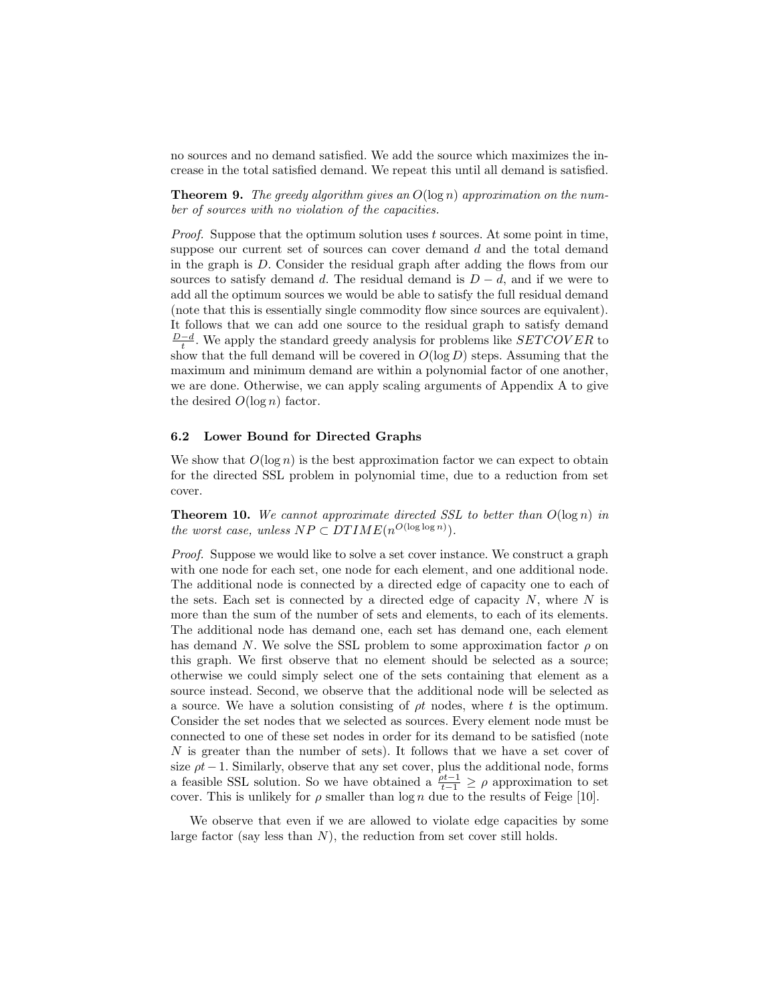no sources and no demand satisfied. We add the source which maximizes the increase in the total satisfied demand. We repeat this until all demand is satisfied.

**Theorem 9.** The greedy algorithm gives an  $O(\log n)$  approximation on the number of sources with no violation of the capacities.

Proof. Suppose that the optimum solution uses t sources. At some point in time, suppose our current set of sources can cover demand d and the total demand in the graph is D. Consider the residual graph after adding the flows from our sources to satisfy demand d. The residual demand is  $D - d$ , and if we were to add all the optimum sources we would be able to satisfy the full residual demand (note that this is essentially single commodity flow since sources are equivalent). It follows that we can add one source to the residual graph to satisfy demand  $\frac{D-d}{t}$ . We apply the standard greedy analysis for problems like SETCOVER to show that the full demand will be covered in  $O(\log D)$  steps. Assuming that the maximum and minimum demand are within a polynomial factor of one another, we are done. Otherwise, we can apply scaling arguments of Appendix A to give the desired  $O(\log n)$  factor.

### 6.2 Lower Bound for Directed Graphs

We show that  $O(\log n)$  is the best approximation factor we can expect to obtain for the directed SSL problem in polynomial time, due to a reduction from set cover.

**Theorem 10.** We cannot approximate directed SSL to better than  $O(\log n)$  in the worst case, unless  $NP \subset DTIME(n^{O(\log \log n)})$ .

Proof. Suppose we would like to solve a set cover instance. We construct a graph with one node for each set, one node for each element, and one additional node. The additional node is connected by a directed edge of capacity one to each of the sets. Each set is connected by a directed edge of capacity  $N$ , where  $N$  is more than the sum of the number of sets and elements, to each of its elements. The additional node has demand one, each set has demand one, each element has demand N. We solve the SSL problem to some approximation factor  $\rho$  on this graph. We first observe that no element should be selected as a source; otherwise we could simply select one of the sets containing that element as a source instead. Second, we observe that the additional node will be selected as a source. We have a solution consisting of  $\rho t$  nodes, where t is the optimum. Consider the set nodes that we selected as sources. Every element node must be connected to one of these set nodes in order for its demand to be satisfied (note N is greater than the number of sets). It follows that we have a set cover of size  $\rho t-1$ . Similarly, observe that any set cover, plus the additional node, forms a feasible SSL solution. So we have obtained a  $\frac{\rho t-1}{t-1} \geq \rho$  approximation to set cover. This is unlikely for  $\rho$  smaller than  $\log n$  due to the results of Feige [10].

We observe that even if we are allowed to violate edge capacities by some large factor (say less than  $N$ ), the reduction from set cover still holds.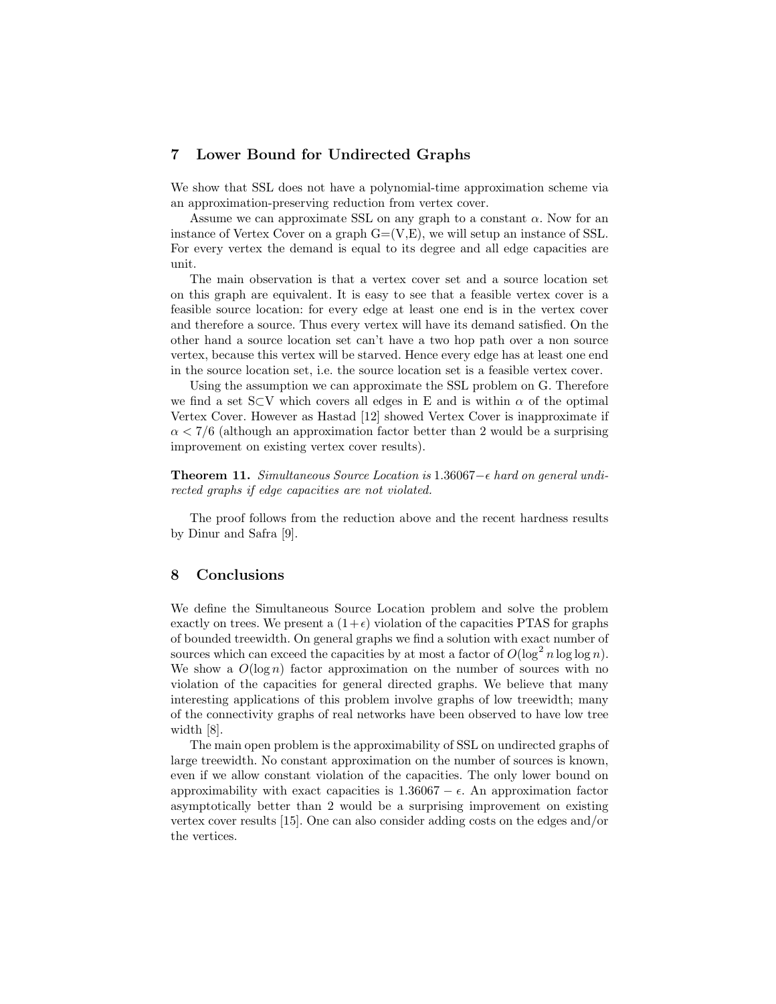# 7 Lower Bound for Undirected Graphs

We show that SSL does not have a polynomial-time approximation scheme via an approximation-preserving reduction from vertex cover.

Assume we can approximate SSL on any graph to a constant  $\alpha$ . Now for an instance of Vertex Cover on a graph  $G=(V,E)$ , we will setup an instance of SSL. For every vertex the demand is equal to its degree and all edge capacities are unit.

The main observation is that a vertex cover set and a source location set on this graph are equivalent. It is easy to see that a feasible vertex cover is a feasible source location: for every edge at least one end is in the vertex cover and therefore a source. Thus every vertex will have its demand satisfied. On the other hand a source location set can't have a two hop path over a non source vertex, because this vertex will be starved. Hence every edge has at least one end in the source location set, i.e. the source location set is a feasible vertex cover.

Using the assumption we can approximate the SSL problem on G. Therefore we find a set S⊂V which covers all edges in E and is within  $\alpha$  of the optimal Vertex Cover. However as Hastad [12] showed Vertex Cover is inapproximate if  $\alpha < 7/6$  (although an approximation factor better than 2 would be a surprising improvement on existing vertex cover results).

Theorem 11. Simultaneous Source Location is 1.36067 $\epsilon$  hard on general undirected graphs if edge capacities are not violated.

The proof follows from the reduction above and the recent hardness results by Dinur and Safra [9].

### 8 Conclusions

We define the Simultaneous Source Location problem and solve the problem exactly on trees. We present a  $(1+\epsilon)$  violation of the capacities PTAS for graphs of bounded treewidth. On general graphs we find a solution with exact number of sources which can exceed the capacities by at most a factor of  $O(\log^2 n \log \log n)$ . We show a  $O(\log n)$  factor approximation on the number of sources with no violation of the capacities for general directed graphs. We believe that many interesting applications of this problem involve graphs of low treewidth; many of the connectivity graphs of real networks have been observed to have low tree width [8].

The main open problem is the approximability of SSL on undirected graphs of large treewidth. No constant approximation on the number of sources is known, even if we allow constant violation of the capacities. The only lower bound on approximability with exact capacities is  $1.36067 - \epsilon$ . An approximation factor asymptotically better than 2 would be a surprising improvement on existing vertex cover results [15]. One can also consider adding costs on the edges and/or the vertices.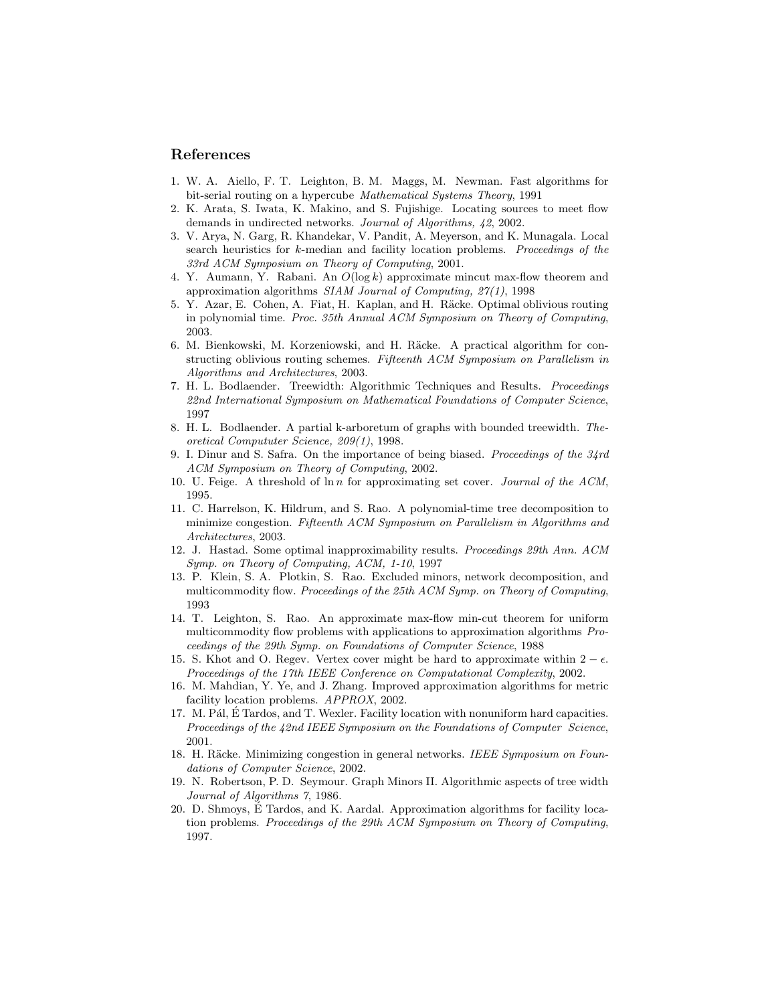## References

- 1. W. A. Aiello, F. T. Leighton, B. M. Maggs, M. Newman. Fast algorithms for bit-serial routing on a hypercube Mathematical Systems Theory, 1991
- 2. K. Arata, S. Iwata, K. Makino, and S. Fujishige. Locating sources to meet flow demands in undirected networks. Journal of Algorithms, 42, 2002.
- 3. V. Arya, N. Garg, R. Khandekar, V. Pandit, A. Meyerson, and K. Munagala. Local search heuristics for k-median and facility location problems. Proceedings of the 33rd ACM Symposium on Theory of Computing, 2001.
- 4. Y. Aumann, Y. Rabani. An  $O(\log k)$  approximate mincut max-flow theorem and approximation algorithms SIAM Journal of Computing, 27(1), 1998
- 5. Y. Azar, E. Cohen, A. Fiat, H. Kaplan, and H. Räcke. Optimal oblivious routing in polynomial time. Proc. 35th Annual ACM Symposium on Theory of Computing, 2003.
- 6. M. Bienkowski, M. Korzeniowski, and H. Räcke. A practical algorithm for constructing oblivious routing schemes. Fifteenth ACM Symposium on Parallelism in Algorithms and Architectures, 2003.
- 7. H. L. Bodlaender. Treewidth: Algorithmic Techniques and Results. Proceedings 22nd International Symposium on Mathematical Foundations of Computer Science, 1997
- 8. H. L. Bodlaender. A partial k-arboretum of graphs with bounded treewidth. Theoretical Compututer Science, 209(1), 1998.
- 9. I. Dinur and S. Safra. On the importance of being biased. Proceedings of the 34rd ACM Symposium on Theory of Computing, 2002.
- 10. U. Feige. A threshold of  $\ln n$  for approximating set cover. Journal of the ACM, 1995.
- 11. C. Harrelson, K. Hildrum, and S. Rao. A polynomial-time tree decomposition to minimize congestion. Fifteenth ACM Symposium on Parallelism in Algorithms and Architectures, 2003.
- 12. J. Hastad. Some optimal inapproximability results. Proceedings 29th Ann. ACM Symp. on Theory of Computing, ACM, 1-10, 1997
- 13. P. Klein, S. A. Plotkin, S. Rao. Excluded minors, network decomposition, and multicommodity flow. Proceedings of the 25th ACM Symp. on Theory of Computing, 1993
- 14. T. Leighton, S. Rao. An approximate max-flow min-cut theorem for uniform multicommodity flow problems with applications to approximation algorithms Proceedings of the 29th Symp. on Foundations of Computer Science, 1988
- 15. S. Khot and O. Regev. Vertex cover might be hard to approximate within  $2 \epsilon$ . Proceedings of the 17th IEEE Conference on Computational Complexity, 2002.
- 16. M. Mahdian, Y. Ye, and J. Zhang. Improved approximation algorithms for metric facility location problems. APPROX, 2002.
- 17. M. Pál, É Tardos, and T. Wexler. Facility location with nonuniform hard capacities. Proceedings of the 42nd IEEE Symposium on the Foundations of Computer Science, 2001.
- 18. H. Räcke. Minimizing congestion in general networks. IEEE Symposium on Foundations of Computer Science, 2002.
- 19. N. Robertson, P. D. Seymour. Graph Minors II. Algorithmic aspects of tree width Journal of Algorithms 7, 1986.
- 20. D. Shmoys, E´ Tardos, and K. Aardal. Approximation algorithms for facility location problems. Proceedings of the 29th ACM Symposium on Theory of Computing, 1997.